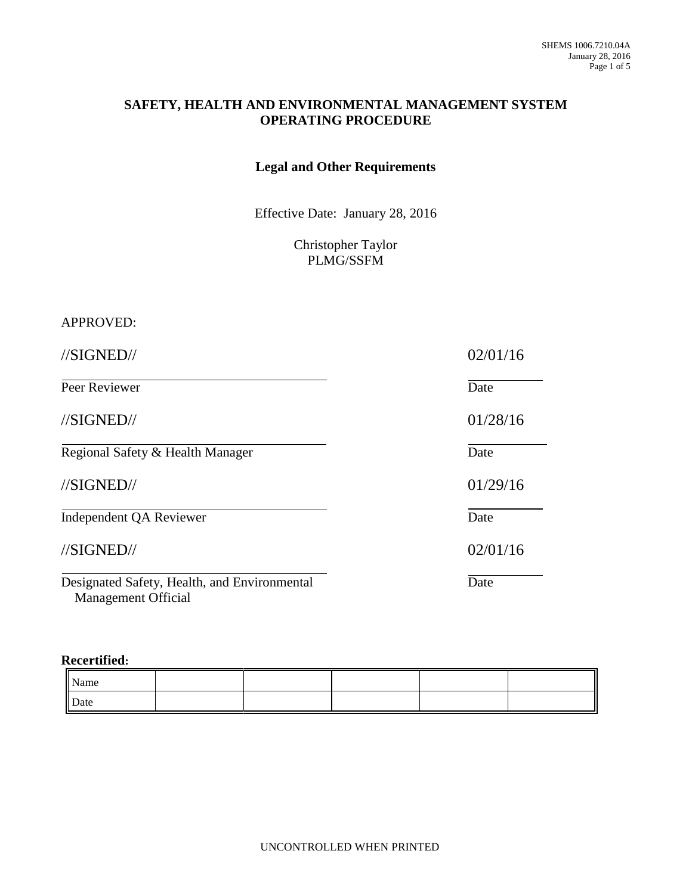#### **SAFETY, HEALTH AND ENVIRONMENTAL MANAGEMENT SYSTEM OPERATING PROCEDURE**

#### **Legal and Other Requirements**

Effective Date: January 28, 2016

Christopher Taylor PLMG/SSFM

#### APPROVED:

//SIGNED// 02/01/16 Peer Reviewer Date //SIGNED// 01/28/16 Regional Safety & Health Manager Date //SIGNED// 01/29/16 Independent QA Reviewer Date //SIGNED// 02/01/16 Designated Safety, Health, and Environmental Date Management Official

#### **Recertified:**

| Name |  |  |  |
|------|--|--|--|
| Date |  |  |  |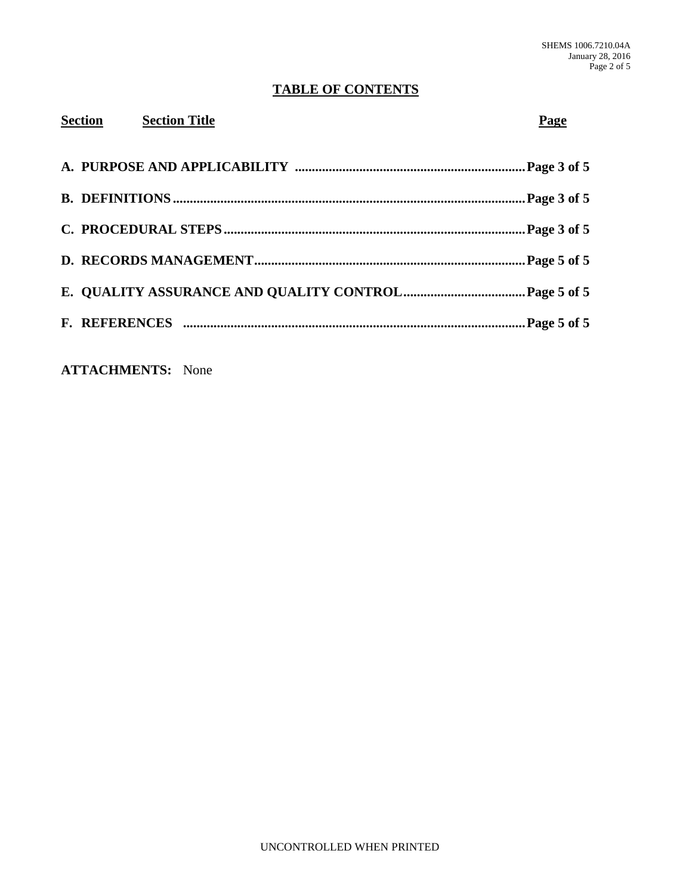# **TABLE OF CONTENTS**

| Section<br><b>Section Title</b> | Page |
|---------------------------------|------|
|                                 |      |
|                                 |      |
|                                 |      |
|                                 |      |
|                                 |      |
|                                 |      |
|                                 |      |

**ATTACHMENTS:** None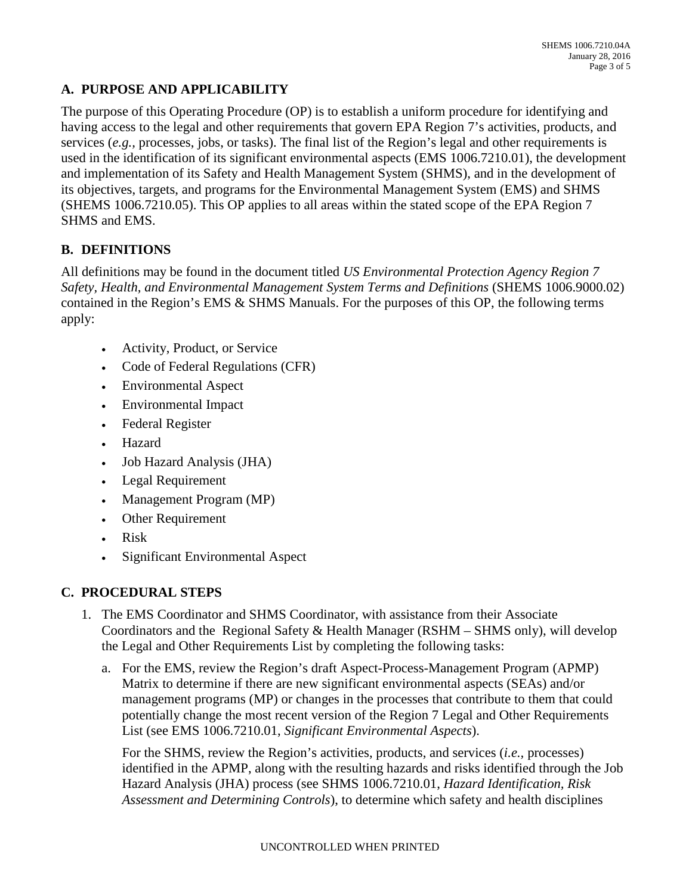# **A. PURPOSE AND APPLICABILITY**

The purpose of this Operating Procedure (OP) is to establish a uniform procedure for identifying and having access to the legal and other requirements that govern EPA Region 7's activities, products, and services (*e.g.,* processes, jobs, or tasks). The final list of the Region's legal and other requirements is used in the identification of its significant environmental aspects (EMS 1006.7210.01), the development and implementation of its Safety and Health Management System (SHMS), and in the development of its objectives, targets, and programs for the Environmental Management System (EMS) and SHMS (SHEMS 1006.7210.05). This OP applies to all areas within the stated scope of the EPA Region 7 SHMS and EMS.

# **B. DEFINITIONS**

All definitions may be found in the document titled *US Environmental Protection Agency Region 7 Safety, Health, and Environmental Management System Terms and Definitions* (SHEMS 1006.9000.02) contained in the Region's EMS & SHMS Manuals. For the purposes of this OP, the following terms apply:

- Activity, Product, or Service
- Code of Federal Regulations (CFR)
- Environmental Aspect
- Environmental Impact
- Federal Register
- Hazard
- Job Hazard Analysis (JHA)
- Legal Requirement
- Management Program (MP)
- Other Requirement
- Risk
- Significant Environmental Aspect

### **C. PROCEDURAL STEPS**

- 1. The EMS Coordinator and SHMS Coordinator, with assistance from their Associate Coordinators and the Regional Safety & Health Manager (RSHM – SHMS only), will develop the Legal and Other Requirements List by completing the following tasks:
	- a. For the EMS, review the Region's draft Aspect-Process-Management Program (APMP) Matrix to determine if there are new significant environmental aspects (SEAs) and/or management programs (MP) or changes in the processes that contribute to them that could potentially change the most recent version of the Region 7 Legal and Other Requirements List (see EMS 1006.7210.01, *Significant Environmental Aspects*).

For the SHMS, review the Region's activities, products, and services (*i.e.,* processes) identified in the APMP, along with the resulting hazards and risks identified through the Job Hazard Analysis (JHA) process (see SHMS 1006.7210.01, *Hazard Identification, Risk Assessment and Determining Controls*), to determine which safety and health disciplines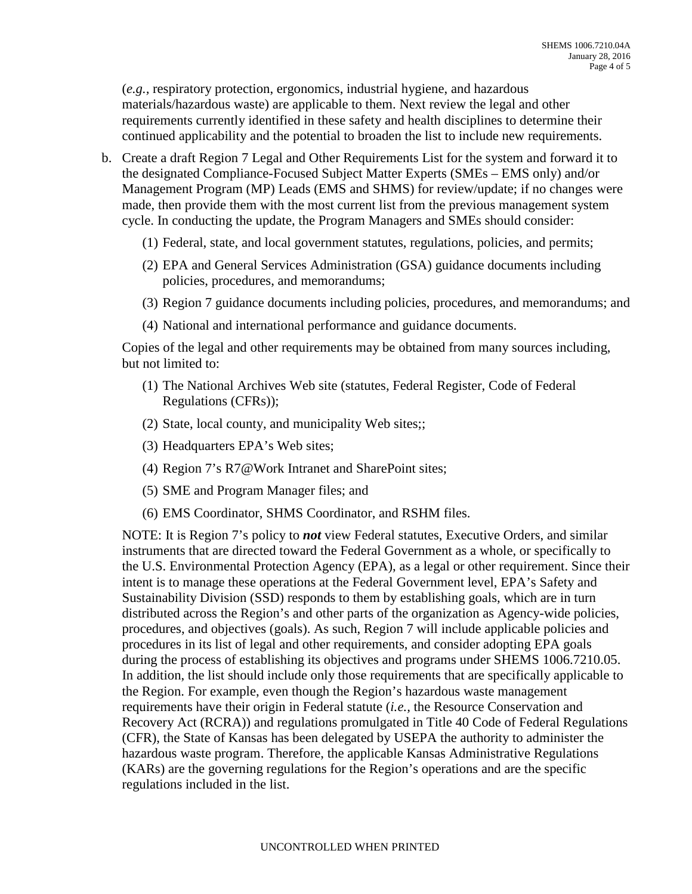(*e.g.,* respiratory protection, ergonomics, industrial hygiene, and hazardous materials/hazardous waste) are applicable to them. Next review the legal and other requirements currently identified in these safety and health disciplines to determine their continued applicability and the potential to broaden the list to include new requirements.

- b. Create a draft Region 7 Legal and Other Requirements List for the system and forward it to the designated Compliance-Focused Subject Matter Experts (SMEs – EMS only) and/or Management Program (MP) Leads (EMS and SHMS) for review/update; if no changes were made, then provide them with the most current list from the previous management system cycle. In conducting the update, the Program Managers and SMEs should consider:
	- (1) Federal, state, and local government statutes, regulations, policies, and permits;
	- (2) EPA and General Services Administration (GSA) guidance documents including policies, procedures, and memorandums;
	- (3) Region 7 guidance documents including policies, procedures, and memorandums; and
	- (4) National and international performance and guidance documents.

Copies of the legal and other requirements may be obtained from many sources including, but not limited to:

- (1) The National Archives Web site (statutes, Federal Register, Code of Federal Regulations (CFRs));
- (2) State, local county, and municipality Web sites;;
- (3) Headquarters EPA's Web sites;
- (4) Region 7's R7@Work Intranet and SharePoint sites;
- (5) SME and Program Manager files; and
- (6) EMS Coordinator, SHMS Coordinator, and RSHM files.

NOTE: It is Region 7's policy to *not* view Federal statutes, Executive Orders, and similar instruments that are directed toward the Federal Government as a whole, or specifically to the U.S. Environmental Protection Agency (EPA), as a legal or other requirement. Since their intent is to manage these operations at the Federal Government level, EPA's Safety and Sustainability Division (SSD) responds to them by establishing goals, which are in turn distributed across the Region's and other parts of the organization as Agency-wide policies, procedures, and objectives (goals). As such, Region 7 will include applicable policies and procedures in its list of legal and other requirements, and consider adopting EPA goals during the process of establishing its objectives and programs under SHEMS 1006.7210.05. In addition, the list should include only those requirements that are specifically applicable to the Region. For example, even though the Region's hazardous waste management requirements have their origin in Federal statute (*i.e.,* the Resource Conservation and Recovery Act (RCRA)) and regulations promulgated in Title 40 Code of Federal Regulations (CFR), the State of Kansas has been delegated by USEPA the authority to administer the hazardous waste program. Therefore, the applicable Kansas Administrative Regulations (KARs) are the governing regulations for the Region's operations and are the specific regulations included in the list.